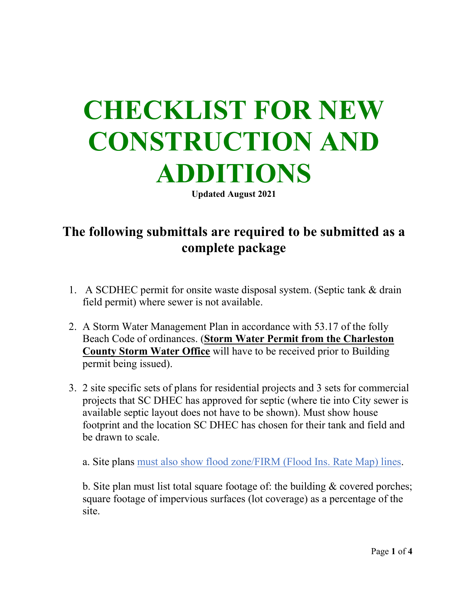## **CHECKLIST FOR NEW CONSTRUCTION AND ADDITIONS**

**Updated August 2021**

## **The following submittals are required to be submitted as a complete package**

- 1. A SCDHEC permit for onsite waste disposal system. (Septic tank & drain field permit) where sewer is not available.
- 2. A Storm Water Management Plan in accordance with 53.17 of the folly Beach Code of ordinances. (**Storm Water Permit from the Charleston County Storm Water Office** will have to be received prior to Building permit being issued).
- 3. 2 site specific sets of plans for residential projects and 3 sets for commercial projects that SC DHEC has approved for septic (where tie into City sewer is available septic layout does not have to be shown). Must show house footprint and the location SC DHEC has chosen for their tank and field and be drawn to scale.

a. Site plans must also show flood zone/FIRM (Flood Ins. Rate Map) lines.

b. Site plan must list total square footage of: the building & covered porches; square footage of impervious surfaces (lot coverage) as a percentage of the site.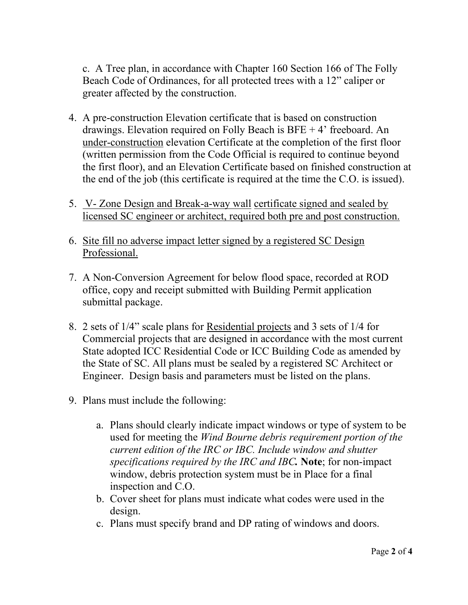c. A Tree plan, in accordance with Chapter 160 Section 166 of The Folly Beach Code of Ordinances, for all protected trees with a 12" caliper or greater affected by the construction.

- 4. A pre-construction Elevation certificate that is based on construction drawings. Elevation required on Folly Beach is BFE + 4' freeboard. An under-construction elevation Certificate at the completion of the first floor (written permission from the Code Official is required to continue beyond the first floor), and an Elevation Certificate based on finished construction at the end of the job (this certificate is required at the time the C.O. is issued).
- 5. V- Zone Design and Break-a-way wall certificate signed and sealed by licensed SC engineer or architect, required both pre and post construction.
- 6. Site fill no adverse impact letter signed by a registered SC Design Professional.
- 7. A Non-Conversion Agreement for below flood space, recorded at ROD office, copy and receipt submitted with Building Permit application submittal package.
- 8. 2 sets of 1/4" scale plans for Residential projects and 3 sets of 1/4 for Commercial projects that are designed in accordance with the most current State adopted ICC Residential Code or ICC Building Code as amended by the State of SC. All plans must be sealed by a registered SC Architect or Engineer. Design basis and parameters must be listed on the plans.
- 9. Plans must include the following:
	- a. Plans should clearly indicate impact windows or type of system to be used for meeting the *Wind Bourne debris requirement portion of the current edition of the IRC or IBC. Include window and shutter specifications required by the IRC and IBC.* **Note**; for non-impact window, debris protection system must be in Place for a final inspection and C.O.
	- b. Cover sheet for plans must indicate what codes were used in the design.
	- c. Plans must specify brand and DP rating of windows and doors.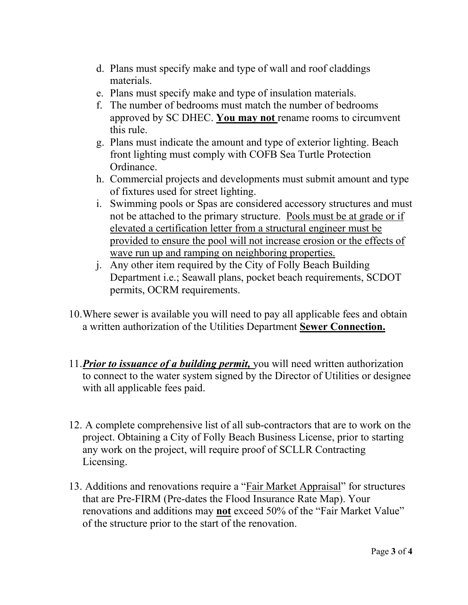- d. Plans must specify make and type of wall and roof claddings materials.
- e. Plans must specify make and type of insulation materials.
- f. The number of bedrooms must match the number of bedrooms approved by SC DHEC. **You may not** rename rooms to circumvent this rule.
- g. Plans must indicate the amount and type of exterior lighting. Beach front lighting must comply with COFB Sea Turtle Protection Ordinance.
- h. Commercial projects and developments must submit amount and type of fixtures used for street lighting.
- i. Swimming pools or Spas are considered accessory structures and must not be attached to the primary structure. Pools must be at grade or if elevated a certification letter from a structural engineer must be provided to ensure the pool will not increase erosion or the effects of wave run up and ramping on neighboring properties.
- j. Any other item required by the City of Folly Beach Building Department i.e.; Seawall plans, pocket beach requirements, SCDOT permits, OCRM requirements.
- 10.Where sewer is available you will need to pay all applicable fees and obtain a written authorization of the Utilities Department **Sewer Connection.**
- 11.*Prior to issuance of a building permit,* you will need written authorization to connect to the water system signed by the Director of Utilities or designee with all applicable fees paid.
- 12. A complete comprehensive list of all sub-contractors that are to work on the project. Obtaining a City of Folly Beach Business License, prior to starting any work on the project, will require proof of SCLLR Contracting Licensing.
- 13. Additions and renovations require a "Fair Market Appraisal" for structures that are Pre-FIRM (Pre-dates the Flood Insurance Rate Map). Your renovations and additions may **not** exceed 50% of the "Fair Market Value" of the structure prior to the start of the renovation.